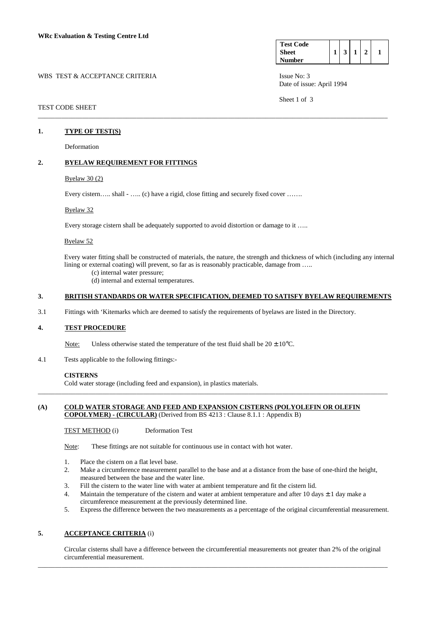#### WBS TEST & ACCEPTANCE CRITERIA ISSUE No: 3

| <b>Test Code</b> |  |  |  |
|------------------|--|--|--|
| <b>Sheet</b>     |  |  |  |
| Number           |  |  |  |

Date of issue: April 1994

Sheet 1 of 3

## TEST CODE SHEET

#### **1. TYPE OF TEST(S)**

Deformation

## **2. BYELAW REQUIREMENT FOR FITTINGS**

## Byelaw 30 (2)

Every cistern….. shall - ….. (c) have a rigid, close fitting and securely fixed cover …….

#### Byelaw 32

Every storage cistern shall be adequately supported to avoid distortion or damage to it …..

#### Byelaw 52

 Every water fitting shall be constructed of materials, the nature, the strength and thickness of which (including any internal lining or external coating) will prevent, so far as is reasonably practicable, damage from .....

(c) internal water pressure;

(d) internal and external temperatures.

## **3. BRITISH STANDARDS OR WATER SPECIFICATION, DEEMED TO SATISFY BYELAW REQUIREMENTS**

\_\_\_\_\_\_\_\_\_\_\_\_\_\_\_\_\_\_\_\_\_\_\_\_\_\_\_\_\_\_\_\_\_\_\_\_\_\_\_\_\_\_\_\_\_\_\_\_\_\_\_\_\_\_\_\_\_\_\_\_\_\_\_\_\_\_\_\_\_\_\_\_\_\_\_\_\_\_\_\_\_\_\_\_\_\_\_\_\_\_\_\_\_\_\_\_\_\_\_\_\_\_\_

3.1 Fittings with 'Kitemarks which are deemed to satisfy the requirements of byelaws are listed in the Directory.

#### **4. TEST PROCEDURE**

Note: Unless otherwise stated the temperature of the test fluid shall be  $20 \pm 10^{\circ}$ C.

4.1 Tests applicable to the following fittings:-

## **CISTERNS**

Cold water storage (including feed and expansion), in plastics materials.

### **(A) COLD WATER STORAGE AND FEED AND EXPANSION CISTERNS (POLYOLEFIN OR OLEFIN COPOLYMER) - (CIRCULAR)** (Derived from BS 4213 : Clause 8.1.1 : Appendix B)

\_\_\_\_\_\_\_\_\_\_\_\_\_\_\_\_\_\_\_\_\_\_\_\_\_\_\_\_\_\_\_\_\_\_\_\_\_\_\_\_\_\_\_\_\_\_\_\_\_\_\_\_\_\_\_\_\_\_\_\_\_\_\_\_\_\_\_\_\_\_\_\_\_\_\_\_\_\_\_\_\_\_\_\_\_\_\_\_\_\_\_\_\_\_\_\_\_\_\_\_\_\_\_

TEST METHOD (i) Deformation Test

Note: These fittings are not suitable for continuous use in contact with hot water.

- 1. Place the cistern on a flat level base.
- 2. Make a circumference measurement parallel to the base and at a distance from the base of one-third the height, measured between the base and the water line.
- 3. Fill the cistern to the water line with water at ambient temperature and fit the cistern lid.
- 4. Maintain the temperature of the cistern and water at ambient temperature and after 10 days  $\pm$  1 day make a circumference measurement at the previously determined line.
- 5. Express the difference between the two measurements as a percentage of the original circumferential measurement.

# **5. ACCEPTANCE CRITERIA** (i)

 Circular cisterns shall have a difference between the circumferential measurements not greater than 2% of the original circumferential measurement.

\_\_\_\_\_\_\_\_\_\_\_\_\_\_\_\_\_\_\_\_\_\_\_\_\_\_\_\_\_\_\_\_\_\_\_\_\_\_\_\_\_\_\_\_\_\_\_\_\_\_\_\_\_\_\_\_\_\_\_\_\_\_\_\_\_\_\_\_\_\_\_\_\_\_\_\_\_\_\_\_\_\_\_\_\_\_\_\_\_\_\_\_\_\_\_\_\_\_\_\_\_\_\_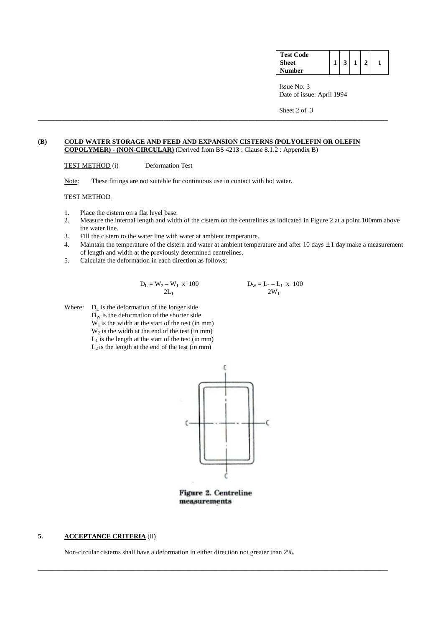| <b>Test Code</b> |                |              |  |
|------------------|----------------|--------------|--|
| <b>Sheet</b>     | 3 <sup>1</sup> | $\mathbf{1}$ |  |
| <b>Number</b>    |                |              |  |

 Issue No: 3 Date of issue: April 1994

Sheet 2 of 3

## **(B) COLD WATER STORAGE AND FEED AND EXPANSION CISTERNS (POLYOLEFIN OR OLEFIN COPOLYMER) - (NON-CIRCULAR)** (Derived from BS 4213 : Clause 8.1.2 : Appendix B)

\_\_\_\_\_\_\_\_\_\_\_\_\_\_\_\_\_\_\_\_\_\_\_\_\_\_\_\_\_\_\_\_\_\_\_\_\_\_\_\_\_\_\_\_\_\_\_\_\_\_\_\_\_\_\_\_\_\_\_\_\_\_\_\_\_\_\_\_\_\_\_\_\_\_\_\_\_\_\_\_\_\_\_\_\_\_\_\_\_\_\_\_\_\_\_\_\_\_\_\_\_\_\_

TEST METHOD (i) Deformation Test

Note: These fittings are not suitable for continuous use in contact with hot water.

### TEST METHOD

- 1. Place the cistern on a flat level base.
- 2. Measure the internal length and width of the cistern on the centrelines as indicated in Figure 2 at a point 100mm above the water line.
- 3. Fill the cistern to the water line with water at ambient temperature.
- 4. Maintain the temperature of the cistern and water at ambient temperature and after 10 days  $\pm$  1 day make a measurement of length and width at the previously determined centrelines.
- 5. Calculate the deformation in each direction as follows:

$$
D_{L} = \frac{W_{2} - W_{1}}{2L_{1}} \times 100 \qquad D_{W} = \underline{L_{2} - L_{1}} \times 100
$$

Where:  $D_L$  is the deformation of the longer side  $D<sub>w</sub>$  is the deformation of the shorter side  $W<sub>1</sub>$  is the width at the start of the test (in mm)  $W<sub>2</sub>$  is the width at the end of the test (in mm)  $L_1$  is the length at the start of the test (in mm)  $L_2$  is the length at the end of the test (in mm)



Figure 2. Centreline measurements

\_\_\_\_\_\_\_\_\_\_\_\_\_\_\_\_\_\_\_\_\_\_\_\_\_\_\_\_\_\_\_\_\_\_\_\_\_\_\_\_\_\_\_\_\_\_\_\_\_\_\_\_\_\_\_\_\_\_\_\_\_\_\_\_\_\_\_\_\_\_\_\_\_\_\_\_\_\_\_\_\_\_\_\_\_\_\_\_\_\_\_\_\_\_\_\_\_\_\_\_\_\_\_

## **5. ACCEPTANCE CRITERIA** (ii)

Non-circular cisterns shall have a deformation in either direction not greater than 2%.